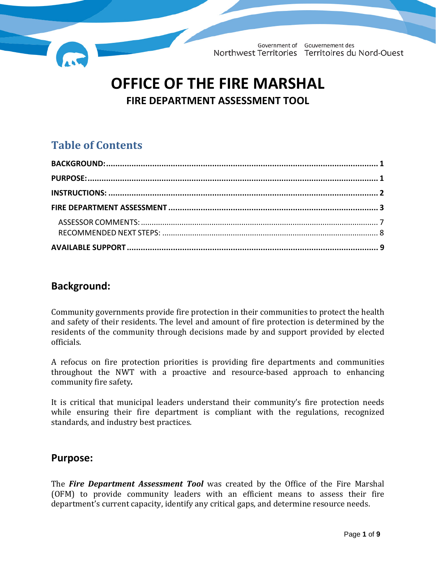

# **OFFICE OF THE FIRE MARSHAL FIRE DEPARTMENT ASSESSMENT TOOL**

## **Table of Contents**

#### <span id="page-0-0"></span>**Background:**

Community governments provide fire protection in their communities to protect the health and safety of their residents. The level and amount of fire protection is determined by the residents of the community through decisions made by and support provided by elected officials.

A refocus on fire protection priorities is providing fire departments and communities throughout the NWT with a proactive and resource-based approach to enhancing community fire safety*.*

It is critical that municipal leaders understand their community's fire protection needs while ensuring their fire department is compliant with the regulations, recognized standards, and industry best practices.

#### <span id="page-0-1"></span>**Purpose:**

The *Fire Department Assessment Tool* was created by the Office of the Fire Marshal (OFM) to provide community leaders with an efficient means to assess their fire department's current capacity, identify any critical gaps, and determine resource needs.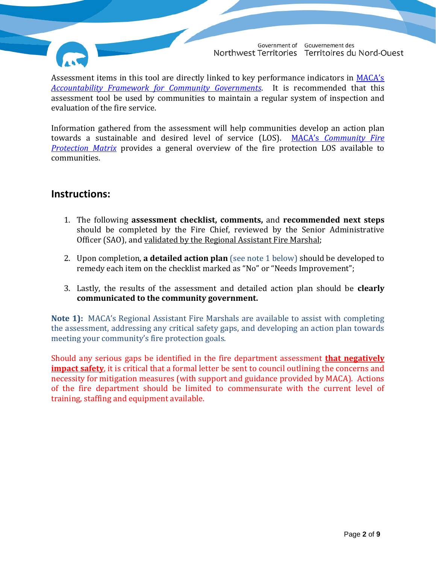

Assessment items in this tool are directly linked to key performance indicators in [MACA's](http://www.maca.gov.nt.ca/accountability-framework-for-community-governments/) *Accountability Framework [for Community Governments](http://www.maca.gov.nt.ca/accountability-framework-for-community-governments/)*. It is recommended that this assessment tool be used by communities to maintain a regular system of inspection and evaluation of the fire service.

Information gathered from the assessment will help communities develop an action plan towards a sustainable and desired level of service (LOS). MACA's *[Community Fire](http://www.maca.gov.nt.ca/office-of-the-fire-marshal/community-fire-protection-plan/community-fire-protection-matrix/)  [Protection Matrix](http://www.maca.gov.nt.ca/office-of-the-fire-marshal/community-fire-protection-plan/community-fire-protection-matrix/)* provides a general overview of the fire protection LOS available to communities.

#### <span id="page-1-0"></span>**Instructions:**

- 1. The following **assessment checklist, comments,** and **recommended next steps** should be completed by the Fire Chief, reviewed by the Senior Administrative Officer (SAO), and validated by the Regional Assistant Fire Marshal;
- 2. Upon completion, **a detailed action plan** (see note 1 below) should be developed to remedy each item on the checklist marked as "No" or "Needs Improvement";
- 3. Lastly, the results of the assessment and detailed action plan should be **clearly communicated to the community government.**

**Note 1):** MACA's Regional Assistant Fire Marshals are available to assist with completing the assessment, addressing any critical safety gaps, and developing an action plan towards meeting your community's fire protection goals.

Should any serious gaps be identified in the fire department assessment **that negatively impact safety**, it is critical that a formal letter be sent to council outlining the concerns and necessity for mitigation measures (with support and guidance provided by MACA). Actions of the fire department should be limited to commensurate with the current level of training, staffing and equipment available.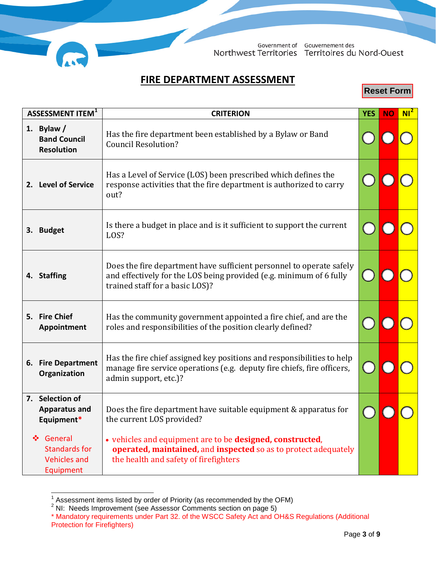

### **FIRE DEPARTMENT ASSESSMENT**

**Reset Form**

<span id="page-2-0"></span>

| ASSESSMENT ITEM <sup>1</sup> |                                                                                                                                                                                                                  | <b>CRITERION</b>                                                                                                                                                               |  |  | $Nl^2$ |
|------------------------------|------------------------------------------------------------------------------------------------------------------------------------------------------------------------------------------------------------------|--------------------------------------------------------------------------------------------------------------------------------------------------------------------------------|--|--|--------|
|                              | 1. Bylaw $/$<br><b>Band Council</b><br><b>Resolution</b>                                                                                                                                                         | Has the fire department been established by a Bylaw or Band<br><b>Council Resolution?</b>                                                                                      |  |  |        |
|                              | 2. Level of Service                                                                                                                                                                                              | Has a Level of Service (LOS) been prescribed which defines the<br>response activities that the fire department is authorized to carry<br>out?                                  |  |  |        |
| 3.                           | Is there a budget in place and is it sufficient to support the current<br><b>Budget</b><br>LOS?                                                                                                                  |                                                                                                                                                                                |  |  |        |
|                              | 4. Staffing                                                                                                                                                                                                      | Does the fire department have sufficient personnel to operate safely<br>and effectively for the LOS being provided (e.g. minimum of 6 fully<br>trained staff for a basic LOS)? |  |  |        |
|                              | 5. Fire Chief<br>Appointment                                                                                                                                                                                     | Has the community government appointed a fire chief, and are the<br>roles and responsibilities of the position clearly defined?                                                |  |  |        |
|                              | Has the fire chief assigned key positions and responsibilities to help<br>6. Fire Department<br>manage fire service operations (e.g. deputy fire chiefs, fire officers,<br>Organization<br>admin support, etc.)? |                                                                                                                                                                                |  |  |        |
|                              | 7. Selection of<br><b>Apparatus and</b><br>Equipment*                                                                                                                                                            | Does the fire department have suitable equipment & apparatus for<br>the current LOS provided?                                                                                  |  |  |        |
|                              | ❖ General<br><b>Standards for</b><br><b>Vehicles and</b><br>Equipment                                                                                                                                            | • vehicles and equipment are to be designed, constructed,<br>operated, maintained, and inspected so as to protect adequately<br>the health and safety of firefighters          |  |  |        |

<span id="page-2-1"></span> $1/2$  Assessment items listed by order of Priority (as recommended by the OFM)

 $2$  NI: Needs Improvement (see Assessor Comments section on page 5)

<span id="page-2-2"></span><sup>\*</sup> Mandatory requirements under Part 32. of the WSCC Safety Act and OH&S Regulations (Additional Protection for Firefighters)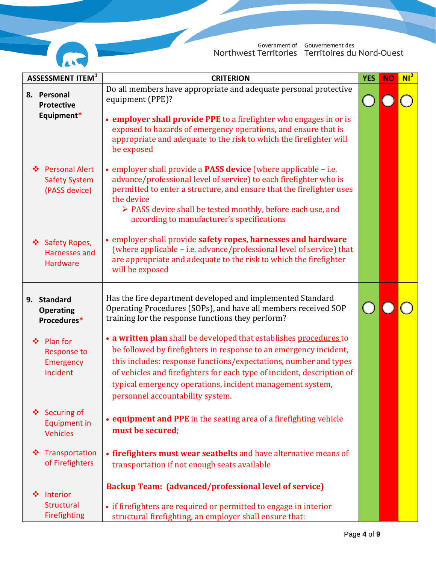

| ASSESSMENT ITEM <sup>1</sup>                                        |                                                                                                                                                                                                                                                                                                                                       | <b>CRITERION</b>                                                                                                                                                                                                                                                                                                                                                                       | <b>YES</b> | <b>NO</b> | $Nl^2$ |
|---------------------------------------------------------------------|---------------------------------------------------------------------------------------------------------------------------------------------------------------------------------------------------------------------------------------------------------------------------------------------------------------------------------------|----------------------------------------------------------------------------------------------------------------------------------------------------------------------------------------------------------------------------------------------------------------------------------------------------------------------------------------------------------------------------------------|------------|-----------|--------|
| 8. Personal                                                         | Do all members have appropriate and adequate personal protective<br>equipment (PPE)?<br><b>Protective</b><br>Equipment*<br>• employer shall provide PPE to a firefighter who engages in or is<br>exposed to hazards of emergency operations, and ensure that is<br>appropriate and adequate to the risk to which the firefighter will |                                                                                                                                                                                                                                                                                                                                                                                        |            |           |        |
| <b>Personal Alert</b><br>❖<br><b>Safety System</b><br>(PASS device) |                                                                                                                                                                                                                                                                                                                                       | be exposed<br>• employer shall provide a <b>PASS device</b> (where applicable – i.e.<br>advance/professional level of service) to each firefighter who is<br>permitted to enter a structure, and ensure that the firefighter uses<br>the device<br>$\triangleright$ PASS device shall be tested monthly, before each use, and<br>according to manufacturer's specifications            |            |           |        |
| Safety Ropes,<br>❖<br><b>Harnesses and</b><br><b>Hardware</b>       |                                                                                                                                                                                                                                                                                                                                       | • employer shall provide safety ropes, harnesses and hardware<br>(where applicable - i.e. advance/professional level of service) that<br>are appropriate and adequate to the risk to which the firefighter<br>will be exposed                                                                                                                                                          |            |           |        |
| 9. Standard<br><b>Operating</b><br>Procedures*                      |                                                                                                                                                                                                                                                                                                                                       | Has the fire department developed and implemented Standard<br>Operating Procedures (SOPs), and have all members received SOP<br>training for the response functions they perform?                                                                                                                                                                                                      |            |           |        |
| <b>Plan for</b><br>豪<br><b>Response to</b><br>Emergency<br>Incident |                                                                                                                                                                                                                                                                                                                                       | • a written plan shall be developed that establishes procedures to<br>be followed by firefighters in response to an emergency incident,<br>this includes: response functions/expectations, number and types<br>of vehicles and firefighters for each type of incident, description of<br>typical emergency operations, incident management system,<br>personnel accountability system. |            |           |        |
| Securing of<br>❖<br><b>Equipment in</b><br><b>Vehicles</b>          |                                                                                                                                                                                                                                                                                                                                       | • equipment and PPE in the seating area of a firefighting vehicle<br>must be secured;                                                                                                                                                                                                                                                                                                  |            |           |        |
| Transportation<br>❖<br>of Firefighters                              |                                                                                                                                                                                                                                                                                                                                       | • firefighters must wear seatbelts and have alternative means of<br>transportation if not enough seats available                                                                                                                                                                                                                                                                       |            |           |        |
| Interior<br>❖<br><b>Structural</b><br>Firefighting                  |                                                                                                                                                                                                                                                                                                                                       | <b>Backup Team:</b> (advanced/professional level of service)<br>• if firefighters are required or permitted to engage in interior<br>structural firefighting, an employer shall ensure that:                                                                                                                                                                                           |            |           |        |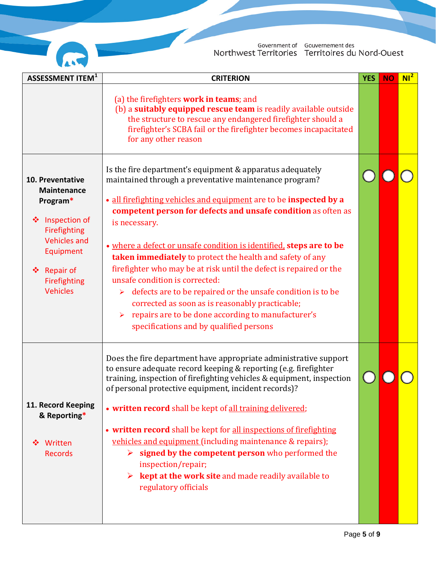

| <b>ASSESSMENT ITEM<sup>1</sup></b>                                                                                                                                                       | <b>CRITERION</b>                                                                                                                                                                                                                                                                                                                                                                                                                                                                                                                                                                                                                                                                                                                                     |  |  | $Nl^2$ |
|------------------------------------------------------------------------------------------------------------------------------------------------------------------------------------------|------------------------------------------------------------------------------------------------------------------------------------------------------------------------------------------------------------------------------------------------------------------------------------------------------------------------------------------------------------------------------------------------------------------------------------------------------------------------------------------------------------------------------------------------------------------------------------------------------------------------------------------------------------------------------------------------------------------------------------------------------|--|--|--------|
|                                                                                                                                                                                          | (a) the firefighters work in teams; and<br>(b) a suitably equipped rescue team is readily available outside<br>the structure to rescue any endangered firefighter should a<br>firefighter's SCBA fail or the firefighter becomes incapacitated<br>for any other reason                                                                                                                                                                                                                                                                                                                                                                                                                                                                               |  |  |        |
| 10. Preventative<br><b>Maintenance</b><br>Program*<br>Inspection of<br>❖<br>Firefighting<br><b>Vehicles and</b><br>Equipment<br><b>Repair of</b><br>❖<br>Firefighting<br><b>Vehicles</b> | Is the fire department's equipment & apparatus adequately<br>maintained through a preventative maintenance program?<br>• all firefighting vehicles and equipment are to be inspected by a<br>competent person for defects and unsafe condition as often as<br>is necessary.<br>• where a defect or unsafe condition is identified, steps are to be<br>taken immediately to protect the health and safety of any<br>firefighter who may be at risk until the defect is repaired or the<br>unsafe condition is corrected:<br>defects are to be repaired or the unsafe condition is to be<br>➤<br>corrected as soon as is reasonably practicable;<br>repairs are to be done according to manufacturer's<br>➤<br>specifications and by qualified persons |  |  |        |
| 11. Record Keeping<br>& Reporting*<br>Written<br>❖<br><b>Records</b>                                                                                                                     | Does the fire department have appropriate administrative support<br>to ensure adequate record keeping & reporting (e.g. firefighter<br>training, inspection of firefighting vehicles & equipment, inspection<br>of personal protective equipment, incident records)?<br>• written record shall be kept of all training delivered;<br>• written record shall be kept for all inspections of firefighting<br>vehicles and equipment (including maintenance & repairs);<br>$\triangleright$ signed by the competent person who performed the<br>inspection/repair;<br><b>kept at the work site</b> and made readily available to<br>regulatory officials                                                                                                |  |  |        |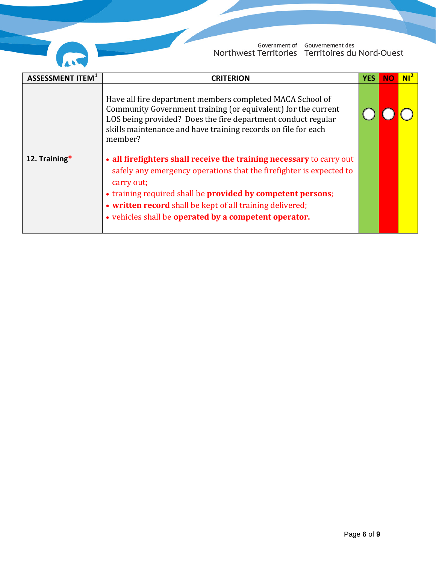

Government of Gouvernement des<br>Northwest Territories Territoires du Nord-Ouest

<span id="page-5-0"></span>

| <b>ASSESSMENT ITEM</b> <sup>1</sup>                                                                                                                                                                                                                                                                                                                             | <b>CRITERION</b>                                                                                                                                                                                                                                                       | <b>YES</b> | <b>NO</b> | NI <sup>2</sup> |
|-----------------------------------------------------------------------------------------------------------------------------------------------------------------------------------------------------------------------------------------------------------------------------------------------------------------------------------------------------------------|------------------------------------------------------------------------------------------------------------------------------------------------------------------------------------------------------------------------------------------------------------------------|------------|-----------|-----------------|
|                                                                                                                                                                                                                                                                                                                                                                 | Have all fire department members completed MACA School of<br>Community Government training (or equivalent) for the current<br>LOS being provided? Does the fire department conduct regular<br>skills maintenance and have training records on file for each<br>member? |            |           |                 |
| 12. Training*<br>• all firefighters shall receive the training necessary to carry out<br>safely any emergency operations that the firefighter is expected to<br>carry out;<br>• training required shall be provided by competent persons;<br>• written record shall be kept of all training delivered;<br>• vehicles shall be operated by a competent operator. |                                                                                                                                                                                                                                                                        |            |           |                 |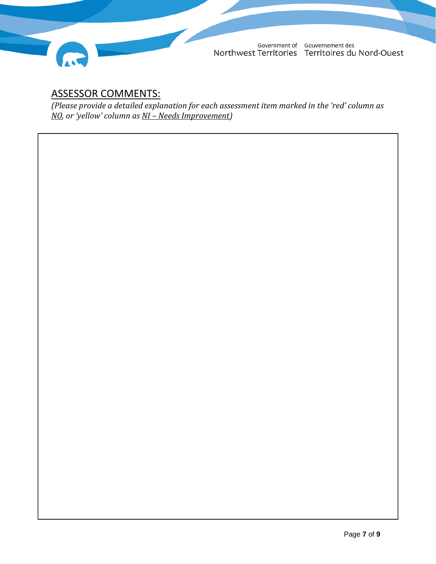

## ASSESSOR COMMENTS:

*(Please provide a detailed explanation for each assessment item marked in the 'red' column as NO, or 'yellow' column as NI – Needs Improvement)*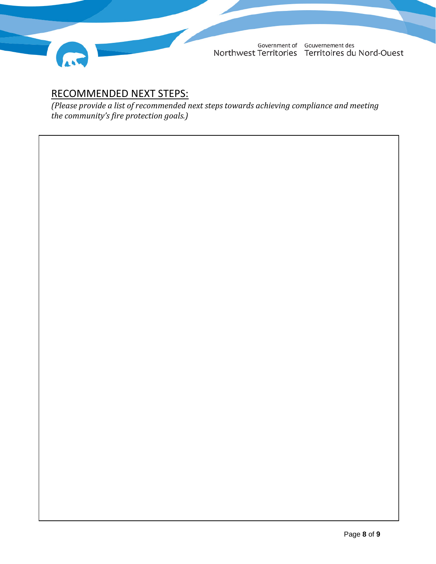

## <span id="page-7-0"></span>RECOMMENDED NEXT STEPS:

*(Please provide a list of recommended next steps towards achieving compliance and meeting the community's fire protection goals.)*